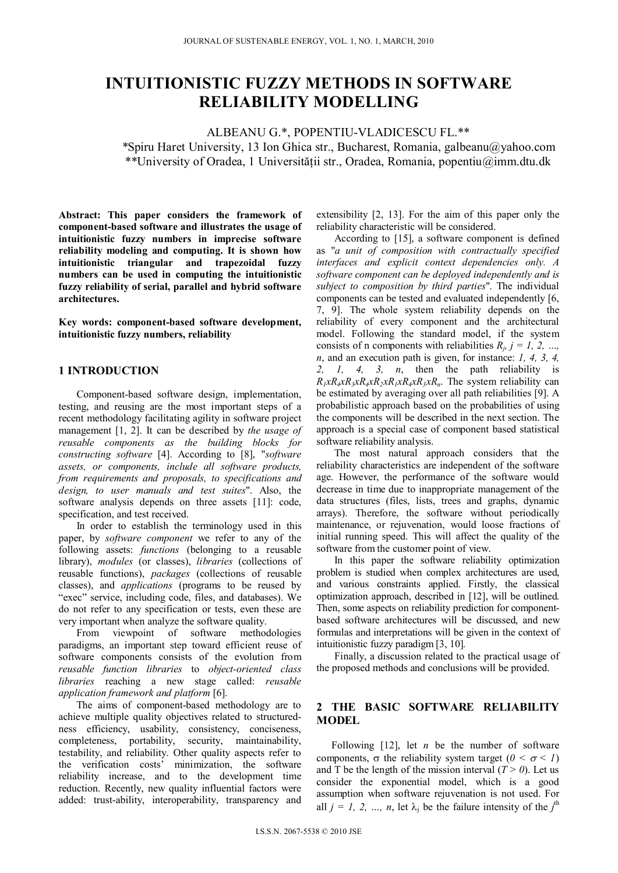# **INTUITIONISTIC FUZZY METHODS IN SOFTWARE RELIABILITY MODELLING**

ALBEANU G.\*, POPENTIU-VLADICESCU FL.\*\* *\**Spiru Haret University, 13 Ion Ghica str., Bucharest, Romania, galbeanu@yahoo.com \*\*University of Oradea, 1 Universităţii str., Oradea, Romania, popentiu@imm.dtu.dk

**Abstract: This paper considers the framework of component-based software and illustrates the usage of intuitionistic fuzzy numbers in imprecise software reliability modeling and computing. It is shown how intuitionistic triangular and trapezoidal fuzzy numbers can be used in computing the intuitionistic fuzzy reliability of serial, parallel and hybrid software architectures.** 

**Key words: component-based software development, intuitionistic fuzzy numbers, reliability** 

# **1 INTRODUCTION**

Component-based software design, implementation, testing, and reusing are the most important steps of a recent methodology facilitating agility in software project management [1, 2]. It can be described by *the usage of reusable components as the building blocks for constructing software* [4]. According to [8], "*software assets, or components, include all software products, from requirements and proposals, to specifications and design, to user manuals and test suites*". Also, the software analysis depends on three assets [11]: code, specification, and test received.

In order to establish the terminology used in this paper, by *software component* we refer to any of the following assets: *functions* (belonging to a reusable library), *modules* (or classes), *libraries* (collections of reusable functions), *packages* (collections of reusable classes), and *applications* (programs to be reused by "exec" service, including code, files, and databases). We do not refer to any specification or tests, even these are very important when analyze the software quality.

From viewpoint of software methodologies paradigms, an important step toward efficient reuse of software components consists of the evolution from *reusable function libraries* to *object-oriented class libraries* reaching a new stage called: *reusable application framework and platform* [6].

The aims of component-based methodology are to achieve multiple quality objectives related to structuredness efficiency, usability, consistency, conciseness, completeness, portability, security, maintainability, testability, and reliability. Other quality aspects refer to the verification costs' minimization, the software reliability increase, and to the development time reduction. Recently, new quality influential factors were added: trust-ability, interoperability, transparency and

extensibility [2, 13]. For the aim of this paper only the reliability characteristic will be considered.

According to [15], a software component is defined as "*a unit of composition with contractually specified interfaces and explicit context dependencies only. A software component can be deployed independently and is subject to composition by third parties*". The individual components can be tested and evaluated independently [6, 7, 9]. The whole system reliability depends on the reliability of every component and the architectural model. Following the standard model, if the system consists of n components with reliabilities  $R_i$ ,  $j = 1, 2, ...,$ *n*, and an execution path is given, for instance: *1, 4, 3, 4, 2, 1, 4, 3, n*, then the path reliability is  $R_1xR_4xR_3xR_4xR_2xR_1xR_4xR_3xR_n$ . The system reliability can be estimated by averaging over all path reliabilities [9]. A probabilistic approach based on the probabilities of using the components will be described in the next section. The approach is a special case of component based statistical software reliability analysis.

The most natural approach considers that the reliability characteristics are independent of the software age. However, the performance of the software would decrease in time due to inappropriate management of the data structures (files, lists, trees and graphs, dynamic arrays). Therefore, the software without periodically maintenance, or rejuvenation, would loose fractions of initial running speed. This will affect the quality of the software from the customer point of view.

In this paper the software reliability optimization problem is studied when complex architectures are used, and various constraints applied. Firstly, the classical optimization approach, described in [12], will be outlined. Then, some aspects on reliability prediction for componentbased software architectures will be discussed, and new formulas and interpretations will be given in the context of intuitionistic fuzzy paradigm [3, 10].

Finally, a discussion related to the practical usage of the proposed methods and conclusions will be provided.

# **2 THE BASIC SOFTWARE RELIABILITY MODEL**

Following [12], let *n* be the number of software components,  $\sigma$  the reliability system target ( $0 < \sigma < 1$ ) and T be the length of the mission interval  $(T > 0)$ . Let us consider the exponential model, which is a good assumption when software rejuvenation is not used. For all  $j = 1, 2, ..., n$ , let  $\lambda_j$  be the failure intensity of the  $j^{\text{th}}$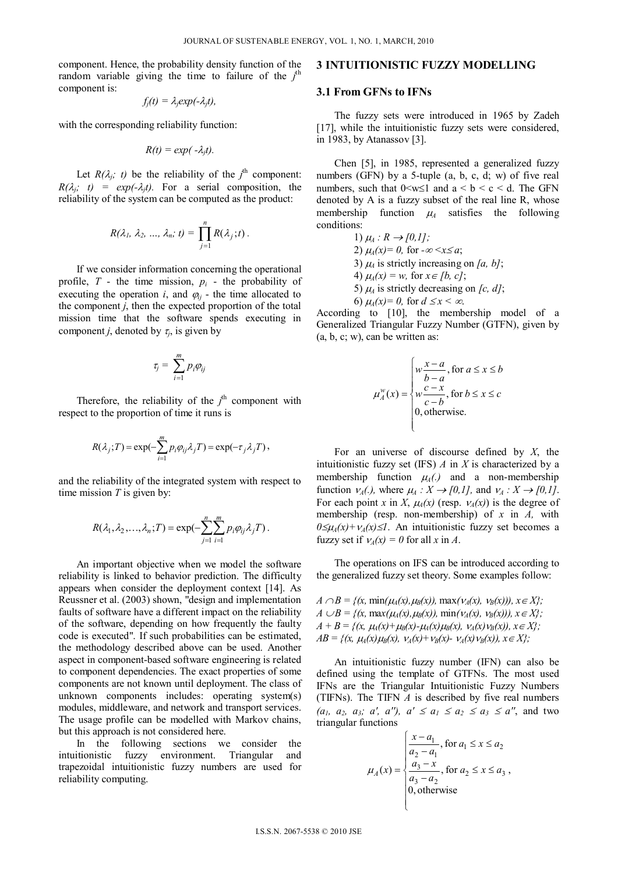component. Hence, the probability density function of the random variable giving the time to failure of the  $j<sup>th</sup>$ component is:

$$
f_j(t) = \lambda_j exp(-\lambda_j t),
$$

with the corresponding reliability function:

$$
R(t) = exp(-\lambda_j t).
$$

Let  $R(\lambda_j; t)$  be the reliability of the  $j^{\text{th}}$  component:  $R(\lambda_i; t) = exp(-\lambda_i t)$ . For a serial composition, the reliability of the system can be computed as the product:

$$
R(\lambda_1, \lambda_2, ..., \lambda_n; t) = \prod_{j=1}^n R(\lambda_j; t).
$$

If we consider information concerning the operational profile,  $T$  - the time mission,  $p_i$  - the probability of executing the operation  $i$ , and  $\varphi_{ij}$  - the time allocated to the component  $j$ , then the expected proportion of the total mission time that the software spends executing in component *j*, denoted by  $\tau_i$ , is given by

$$
\tau_j = \sum_{i=1}^m p_i \varphi_{ij}
$$

Therefore, the reliability of the  $j<sup>th</sup>$  component with respect to the proportion of time it runs is

$$
R(\lambda_j;T) = \exp(-\sum_{i=1}^m p_i \varphi_{ij} \lambda_j T) = \exp(-\tau_j \lambda_j T),
$$

and the reliability of the integrated system with respect to time mission *T* is given by:

$$
R(\lambda_1, \lambda_2, \ldots, \lambda_n; T) = \exp(-\sum_{j=1}^n \sum_{i=1}^m p_i \varphi_{ij} \lambda_j T).
$$

An important objective when we model the software reliability is linked to behavior prediction. The difficulty appears when consider the deployment context [14]. As Reussner et al. (2003) shown, "design and implementation faults of software have a different impact on the reliability of the software, depending on how frequently the faulty code is executed". If such probabilities can be estimated, the methodology described above can be used. Another aspect in component-based software engineering is related to component dependencies. The exact properties of some components are not known until deployment. The class of unknown components includes: operating system(s) modules, middleware, and network and transport services. The usage profile can be modelled with Markov chains, but this approach is not considered here.

In the following sections we consider the intuitionistic fuzzy environment. Triangular and trapezoidal intuitionistic fuzzy numbers are used for reliability computing.

### **3 INTUITIONISTIC FUZZY MODELLING**

#### **3.1 From GFNs to IFNs**

The fuzzy sets were introduced in 1965 by Zadeh [17], while the intuitionistic fuzzy sets were considered, in 1983, by Atanassov [3].

Chen [5], in 1985, represented a generalized fuzzy numbers (GFN) by a 5-tuple (a, b, c, d; w) of five real numbers, such that  $0 \le w \le 1$  and  $a \le b \le c \le d$ . The GFN denoted by A is a fuzzy subset of the real line R, whose membership function  $\mu_4$  satisfies the following conditions:

> 1)  $\mu_A : R \to [0,1]$ ; 2)  $\mu_A(x) = 0$ , for  $-\infty < x \le a$ ; 3)  $\mu_A$  is strictly increasing on [a, b]; 4)  $\mu_A(x) = w$ , for  $x \in [b, c]$ ; 5)  $\mu_A$  is strictly decreasing on [c, d]; 6)  $\mu_4(x) = 0$ , for  $d \leq x < \infty$ .

According to [10], the membership model of a Generalized Triangular Fuzzy Number (GTFN), given by  $(a, b, c; w)$ , can be written as:

$$
\mu_A^w(x) = \begin{cases} w \frac{x-a}{b-a}, \text{ for } a \le x \le b \\ w \frac{c-x}{c-b}, \text{ for } b \le x \le c \\ 0, \text{ otherwise.} \end{cases}
$$

For an universe of discourse defined by *X*, the intuitionistic fuzzy set (IFS) *A* in *X* is characterized by a membership function  $\mu_A(.)$  and a non-membership function  $V_A(.)$ , where  $\mu_A : X \to [0,1]$ , and  $V_A : X \to [0,1]$ . For each point *x* in *X*,  $\mu_A(x)$  (resp.  $\nu_A(x)$ ) is the degree of membership (resp. non-membership) of *x* in *A,* with  $0 \le \mu_A(x) + \nu_A(x) \le 1$ . An intuitionistic fuzzy set becomes a fuzzy set if  $v_A(x) = 0$  for all x in A.

The operations on IFS can be introduced according to the generalized fuzzy set theory. Some examples follow:

*A*  $\cap$  *B* = { $(x, min(\mu_A(x), \mu_B(x)), max(\nu_A(x), \nu_B(x))), x \in X$ }; *A*  $\bigcup B$  = { $(x, \max(\mu_A(x), \mu_B(x)), \min(\nu_A(x), \nu_B(x))), x \in X$ };  $A + B = \{(x, \mu_A(x) + \mu_B(x) - \mu_A(x)\mu_B(x), \nu_A(x)\nu_B(x)), x \in X\};$  $AB = \{(x, \mu_4(x)\mu_8(x), \nu_4(x)+\nu_8(x)-\nu_4(x)\nu_8(x)), x \in X\};$ 

An intuitionistic fuzzy number (IFN) can also be defined using the template of GTFNs. The most used IFNs are the Triangular Intuitionistic Fuzzy Numbers (TIFNs). The TIFN *A* is described by five real numbers  $(a_1, a_2, a_3; a', a'')$ ,  $a' \le a_1 \le a_2 \le a_3 \le a''$ , and two triangular functions

$$
\mu_A(x) = \begin{cases}\n\frac{x - a_1}{a_2 - a_1}, & \text{for } a_1 \le x \le a_2 \\
\frac{a_3 - x}{a_3 - a_2}, & \text{for } a_2 \le x \le a_3 \\
0, & \text{otherwise}\n\end{cases}
$$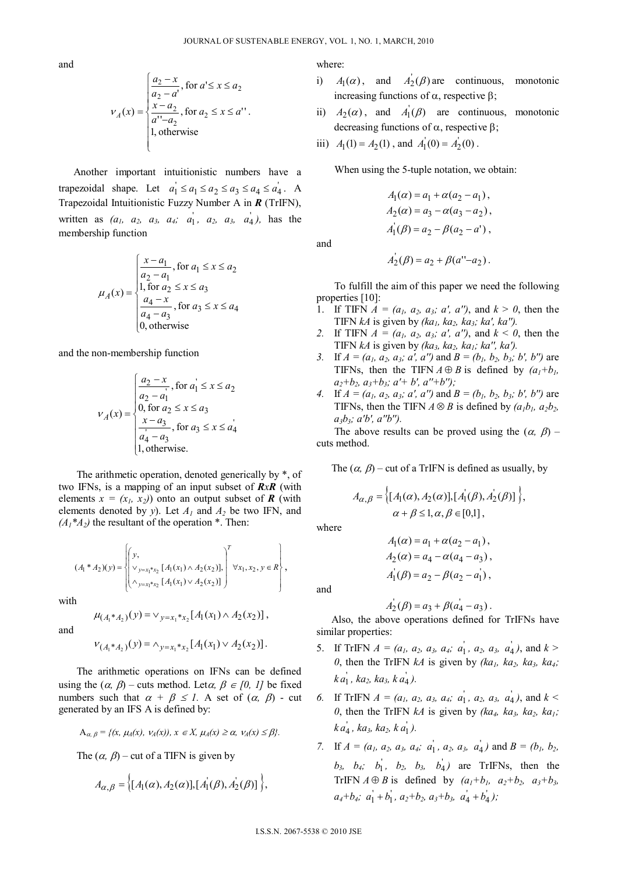and

$$
V_A(x) = \begin{cases} \frac{a_2 - x}{a_2 - a'}, \text{ for } a' \le x \le a_2\\ \frac{x - a_2}{a'' - a_2}, \text{ for } a_2 \le x \le a''\\ 1, \text{ otherwise} \end{cases}
$$

Another important intuitionistic numbers have a trapezoidal shape. Let  $a_1 \le a_1 \le a_2 \le a_3 \le a_4 \le a_4$ . A Trapezoidal Intuitionistic Fuzzy Number A in *R* (TrIFN), written as  $(a_1, a_2, a_3, a_4; a_1^{\dagger}, a_2, a_3, a_4^{\dagger})$ , has the membership function

$$
\mu_A(x) = \begin{cases}\n\frac{x - a_1}{a_2 - a_1}, & \text{for } a_1 \le x \le a_2 \\
1, & \text{for } a_2 \le x \le a_3 \\
\frac{a_4 - x}{a_4 - a_3}, & \text{for } a_3 \le x \le a_4 \\
0, & \text{otherwise}\n\end{cases}
$$

and the non-membership function

$$
V_A(x) = \begin{cases} \frac{a_2 - x}{a_2 - a_1}, & \text{for } a_1 \le x \le a_2\\ 0, & \text{for } a_2 \le x \le a_3\\ \frac{x - a_3}{a_4 - a_3}, & \text{for } a_3 \le x \le a_4\\ 1, & \text{otherwise.} \end{cases}
$$

The arithmetic operation, denoted generically by \*, of two IFNs, is a mapping of an input subset of *RxR* (with elements  $x = (x_1, x_2)$  onto an output subset of **R** (with elements denoted by *y*). Let *A1* and *A2* be two IFN, and  $(A_1^*A_2)$  the resultant of the operation  $^*$ . Then:

$$
(A_1 * A_2)(y) = \left\{ \begin{pmatrix} y, & & \\ \vee_{y=x_1 * x_2} [A_1(x_1) \wedge A_2(x_2)], & \forall x_1, x_2, y \in R \\ \wedge_{y=x_1 * x_2} [A_1(x_1) \vee A_2(x_2)] \end{pmatrix}^T \forall x_1, x_2, y \in R \right\},
$$

with

and

$$
\mu_{(A_1 * A_2)}(y) = \vee_{y = x_1 * x_2} [A_1(x_1) \wedge A_2(x_2)],
$$

$$
V_{(A_1 *_{A_2})}(y) = \wedge_{y = x_1 * x_2} [A_1(x_1) \vee A_2(x_2)].
$$

The arithmetic operations on IFNs can be defined using the  $(\alpha, \beta)$  – cuts method. Let $\alpha, \beta \in [0, 1]$  be fixed numbers such that  $\alpha + \beta \leq 1$ . A set of  $(\alpha, \beta)$  - cut generated by an IFS A is defined by:

$$
\mathbf{A}_{\alpha,\beta} = \{ (x, \mu_A(x), \nu_A(x)), x \in X, \mu_A(x) \ge \alpha, \nu_A(x) \le \beta \}.
$$

The  $(\alpha, \beta)$  – cut of a TIFN is given by

$$
A_{\alpha,\beta} = \left\{ [A_1(\alpha), A_2(\alpha)], [A_1(\beta), A_2(\beta)] \right\},\
$$

where:

- i)  $A_1(\alpha)$ , and  $A_2(\beta)$  are continuous, monotonic increasing functions of  $\alpha$ , respective  $\beta$ ;
- ii)  $A_2(\alpha)$ , and  $A_1(\beta)$  are continuous, monotonic decreasing functions of  $\alpha$ , respective  $\beta$ ;
- iii)  $A_1(1) = A_2(1)$ , and  $A_1(0) = A_2(0)$ .

When using the 5-tuple notation, we obtain:

$$
A_1(\alpha) = a_1 + \alpha(a_2 - a_1),
$$
  
\n
$$
A_2(\alpha) = a_3 - \alpha(a_3 - a_2),
$$
  
\n
$$
A_1(\beta) = a_2 - \beta(a_2 - a'),
$$

and

$$
A_2(\beta) = a_2 + \beta(a''-a_2).
$$

To fulfill the aim of this paper we need the following properties [10]:

- 1. If TIFN  $A = (a_1, a_2, a_3; a', a'')$ , and  $k > 0$ , then the TIFN  $kA$  is given by  $(ka_1, ka_2, ka_3; ka', ka'')$ .
- 2. If TIFN  $A = (a_1, a_2, a_3; a', a'')$ , and  $k < 0$ , then the TIFN  $kA$  is given by *(ka<sub>3</sub>, ka<sub>2</sub>, ka<sub>1</sub>; ka'', ka')*.
- *3.* If  $A = (a_1, a_2, a_3; a', a'')$  and  $B = (b_1, b_2, b_3; b', b'')$  are TIFNs, then the TIFN  $A \oplus B$  is defined by  $(a_1+b_1)$ ,  $a_2+b_2, a_3+b_3; a'+b', a''+b''$
- *4.* If  $A = (a_1, a_2, a_3; a', a'')$  and  $B = (b_1, b_2, b_3; b', b'')$  are TIFNs, then the TIFN  $A \otimes B$  is defined by  $(a_1b_1, a_2b_2, a_3b_3)$ *a3b3; a'b', a''b'').*

The above results can be proved using the  $(\alpha, \beta)$  – cuts method.

The  $(\alpha, \beta)$  – cut of a TrIFN is defined as usually, by

$$
A_{\alpha,\beta} = \left\{ [A_1(\alpha), A_2(\alpha)], [A_1(\beta), A_2(\beta)] \right\},\newline \alpha + \beta \leq 1, \alpha, \beta \in [0,1],
$$

where

$$
A_1(\alpha) = a_1 + \alpha(a_2 - a_1),
$$
  
\n
$$
A_2(\alpha) = a_4 - \alpha(a_4 - a_3),
$$
  
\n
$$
A_1(\beta) = a_2 - \beta(a_2 - a_1),
$$

and

$$
A_2(\beta) = a_3 + \beta(a_4 - a_3).
$$

Also, the above operations defined for TrIFNs have similar properties:

- 5. If TrIFN  $A = (a_1, a_2, a_3, a_4; a_1, a_2, a_3, a_4)$ , and  $k >$ *0*, then the TrIFN  $kA$  is given by  $(ka_1, ka_2, ka_3, ka_4;$  $k a_1, k a_2, k a_3, k a_4$ .
- *6.* If TrIFN  $A = (a_1, a_2, a_3, a_4; a_1, a_2, a_3, a_4)$ , and  $k <$ *0*, then the TrIFN  $kA$  is given by  $(ka_4, ka_3, ka_2, ka_1;$  $k a_4^{\prime}$ ,  $ka_3$ ,  $ka_2$ ,  $k a_1^{\prime}$ ).
- *7.* If  $A = (a_1, a_2, a_3, a_4; a_1, a_2, a_3, a_4)$  and  $B = (b_1, b_2, a_4, a_4, a_5, a_6, a_7)$  $b_3$ ,  $b_4$ ;  $b_1$ ,  $b_2$ ,  $b_3$ ,  $b_4$ ) are TrIFNs, then the TrIFN  $A \oplus B$  is defined by  $(a_1+b_1, a_2+b_2, a_3+b_3, a_4+b_5)$  $a_4+b_4$ ;  $a_1 + b_1$ ,  $a_2+b_2$ ,  $a_3+b_3$ ,  $a_4 + b_4$ );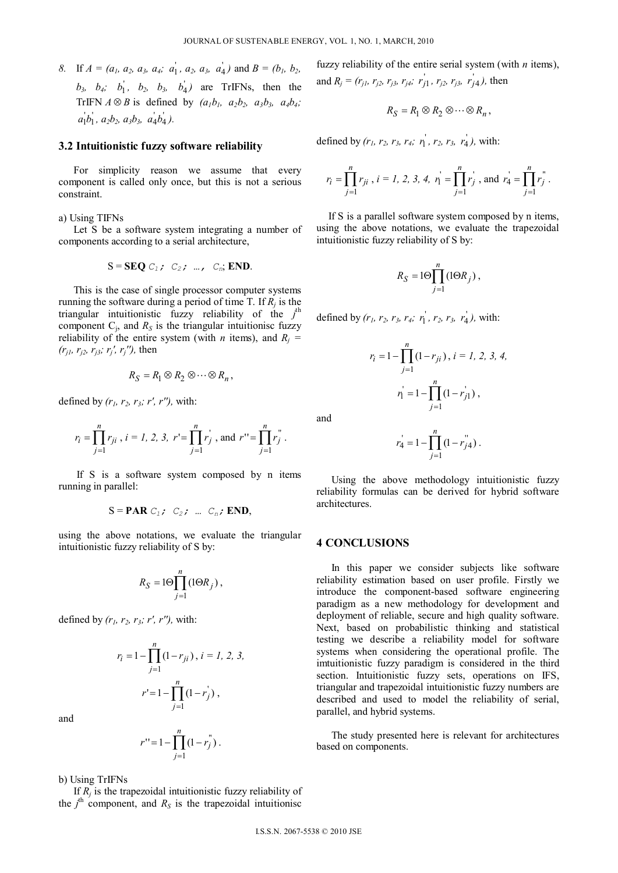*8.* If  $A = (a_1, a_2, a_3, a_4; a_1, a_2, a_3, a_4)$  and  $B = (b_1, b_2, a_4, a_4, a_5, a_6, a_7, a_8, a_9, a_1, a_2, a_3, a_4)$  $b_3$ ,  $b_4$ ;  $b_1$ ,  $b_2$ ,  $b_3$ ,  $b_4$ ) are TrIFNs, then the TrIFN  $A \otimes B$  is defined by  $(a_1b_1, a_2b_2, a_3b_3, a_4b_4;$  $a_1' b_1'$ ,  $a_2 b_2$ ,  $a_3 b_3$ ,  $a_4' b_4'$ ).

#### **3.2 Intuitionistic fuzzy software reliability**

For simplicity reason we assume that every component is called only once, but this is not a serious constraint.

a) Using TIFNs

Let S be a software system integrating a number of components according to a serial architecture,

$$
S = \text{SEQ } C_1; \quad C_2; \quad \dots, \quad C_n; \text{END}.
$$

This is the case of single processor computer systems running the software during a period of time T. If  $R_i$  is the triangular intuitionistic fuzzy reliability of the *j*<sup>th</sup> component  $C_j$ , and  $R_S$  is the triangular intuitionisc fuzzy reliability of the entire system (with *n* items), and  $R_i$  = *(rj1, rj2, rj3; rj', rj''),* then

$$
R_S = R_1 \otimes R_2 \otimes \cdots \otimes R_n,
$$

defined by *(r1, r2, r3; r', r''),* with:

$$
r_i = \prod_{j=1}^n r_{ji}
$$
,  $i = 1, 2, 3$ ,  $r' = \prod_{j=1}^n r_j'$ , and  $r'' = \prod_{j=1}^n r_j''$ .

If S is a software system composed by n items running in parallel:

$$
S = PAR C_1; C_2; ... C_n; END,
$$

using the above notations, we evaluate the triangular intuitionistic fuzzy reliability of S by:

$$
R_S = 10 \prod_{j=1}^n \left( 1 {\Theta} R_j \right),
$$

defined by *(r1, r2, r3; r', r''),* with:

$$
r_{i} = 1 - \prod_{j=1}^{n} (1 - r_{ji}), i = 1, 2, 3,
$$
  

$$
r' = 1 - \prod_{j=1}^{n} (1 - r_{j}^{j}),
$$

and

$$
r'' = 1 - \prod_{j=1}^{n} (1 - r_j^{n}).
$$

b) Using TrIFNs

If  $R_i$  is the trapezoidal intuitionistic fuzzy reliability of the  $j<sup>th</sup>$  component, and  $R<sub>S</sub>$  is the trapezoidal intuitionisc fuzzy reliability of the entire serial system (with *n* items), and  $R_j = (r_{j1}, r_{j2}, r_{j3}, r_{j4}; r'_{j1}, r_{j2}, r_{j3}, r'_{j4})$ , then

$$
R_S = R_1 \otimes R_2 \otimes \cdots \otimes R_n,
$$

defined by  $(r_1, r_2, r_3, r_4; r_1, r_2, r_3, r_4)$ , with:

$$
r_i = \prod_{j=1}^n r_{ji}
$$
,  $i = 1, 2, 3, 4$ ,  $r'_1 = \prod_{j=1}^n r'_j$ , and  $r'_4 = \prod_{j=1}^n r''_j$ .

If S is a parallel software system composed by n items, using the above notations, we evaluate the trapezoidal intuitionistic fuzzy reliability of S by:

$$
R_S = 10 \prod_{j=1}^n (10 R_j),
$$

defined by  $(r_1, r_2, r_3, r_4; r_1, r_2, r_3, r_4)$ , with:

$$
r_{i} = 1 - \prod_{j=1}^{n} (1 - r_{ji}), i = 1, 2, 3, 4,
$$
  

$$
r_{1}^{i} = 1 - \prod_{j=1}^{n} (1 - r_{j1}^{i}),
$$

and

$$
r_4 = 1 - \prod_{j=1}^n (1 - r_{j4}^{\mathsf{m}}).
$$

Using the above methodology intuitionistic fuzzy reliability formulas can be derived for hybrid software architectures.

## **4 CONCLUSIONS**

In this paper we consider subjects like software reliability estimation based on user profile. Firstly we introduce the component-based software engineering paradigm as a new methodology for development and deployment of reliable, secure and high quality software. Next, based on probabilistic thinking and statistical testing we describe a reliability model for software systems when considering the operational profile. The imtuitionistic fuzzy paradigm is considered in the third section. Intuitionistic fuzzy sets, operations on IFS, triangular and trapezoidal intuitionistic fuzzy numbers are described and used to model the reliability of serial, parallel, and hybrid systems.

The study presented here is relevant for architectures based on components.